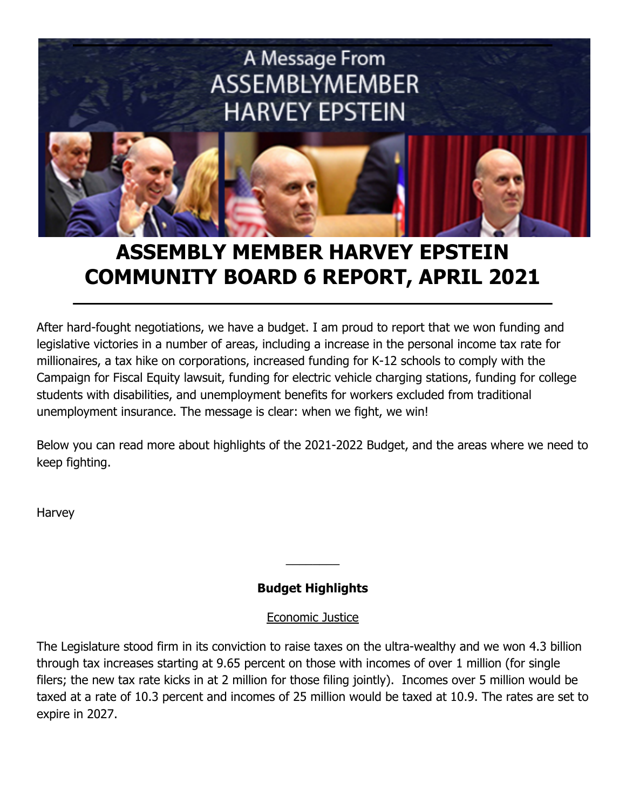

# **ASSEMBLY MEMBER HARVEY EPSTEIN COMMUNITY BOARD 6 REPORT, APRIL 2021**

After hard-fought negotiations, we have a budget. I am proud to report that we won funding and legislative victories in a number of areas, including a increase in the personal income tax rate for millionaires, a tax hike on corporations, increased funding for K-12 schools to comply with the Campaign for Fiscal Equity lawsuit, funding for electric vehicle charging stations, funding for college students with disabilities, and unemployment benefits for workers excluded from traditional unemployment insurance. The message is clear: when we fight, we win!

Below you can read more about highlights of the 2021-2022 Budget, and the areas where we need to keep fighting.

Harvey

# **Budget Highlights**

 $\overline{\phantom{a}}$ 

#### Economic Justice

The Legislature stood firm in its conviction to raise taxes on the ultra-wealthy and we won 4.3 billion through tax increases starting at 9.65 percent on those with incomes of over 1 million (for single filers; the new tax rate kicks in at 2 million for those filing jointly). Incomes over 5 million would be taxed at a rate of 10.3 percent and incomes of 25 million would be taxed at 10.9. The rates are set to expire in 2027.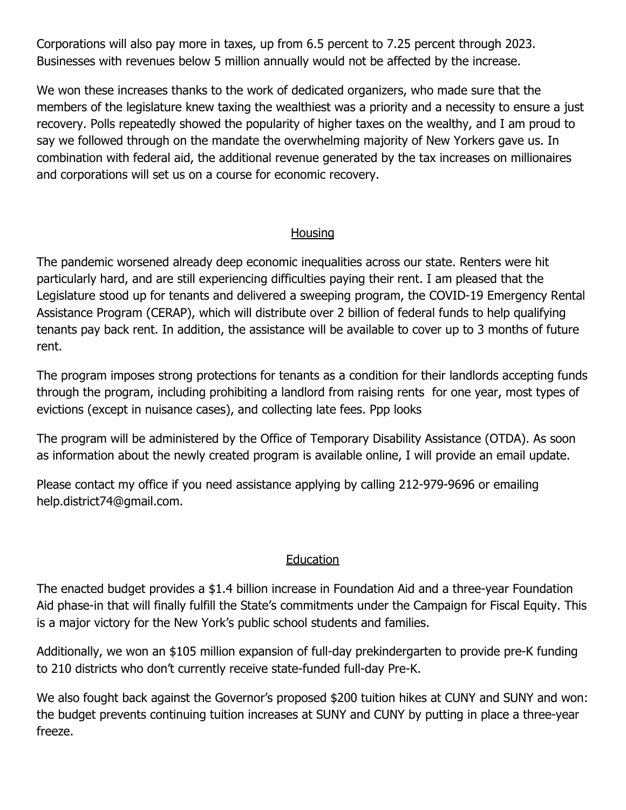Corporations will also pay more in taxes, up from 6.5 percent to 7.25 percent through 2023. Businesses with revenues below 5 million annually would not be affected by the increase.

We won these increases thanks to the work of dedicated organizers, who made sure that the members of the legislature knew taxing the wealthiest was a priority and a necessity to ensure a just recovery. Polls repeatedly showed the popularity of higher taxes on the wealthy, and I am proud to say we followed through on the mandate the overwhelming majority of New Yorkers gave us. In combination with federal aid, the additional revenue generated by the tax increases on millionaires and corporations will set us on a course for economic recovery.

#### **Housing**

The pandemic worsened already deep economic inequalities across our state. Renters were hit particularly hard, and are still experiencing difficulties paying their rent. I am pleased that the Legislature stood up for tenants and delivered a sweeping program, the COVID-19 Emergency Rental Assistance Program (CERAP), which will distribute over 2 billion of federal funds to help qualifying tenants pay back rent. In addition, the assistance will be available to cover up to 3 months of future rent.

The program imposes strong protections for tenants as a condition for their landlords accepting funds through the program, including prohibiting a landlord from raising rents for one year, most types of evictions (except in nuisance cases), and collecting late fees. Ppp looks

The program will be administered by the Office of Temporary Disability Assistance (OTDA). As soon as information about the newly created program is available online, I will provide an email update.

Please contact my office if you need assistance applying by calling 212-979-9696 or emailing help.district74@gmail.com.

#### **Education**

The enacted budget provides a \$1.4 billion increase in Foundation Aid and a three-year Foundation Aid phase-in that will finally fulfill the State's commitments under the Campaign for Fiscal Equity. This is a major victory for the New York's public school students and families.

Additionally, we won an \$105 million expansion of full-day prekindergarten to provide pre-K funding to 210 districts who don't currently receive state-funded full-day Pre-K.

We also fought back against the Governor's proposed \$200 tuition hikes at CUNY and SUNY and won: the budget prevents continuing tuition increases at SUNY and CUNY by putting in place a three-year freeze.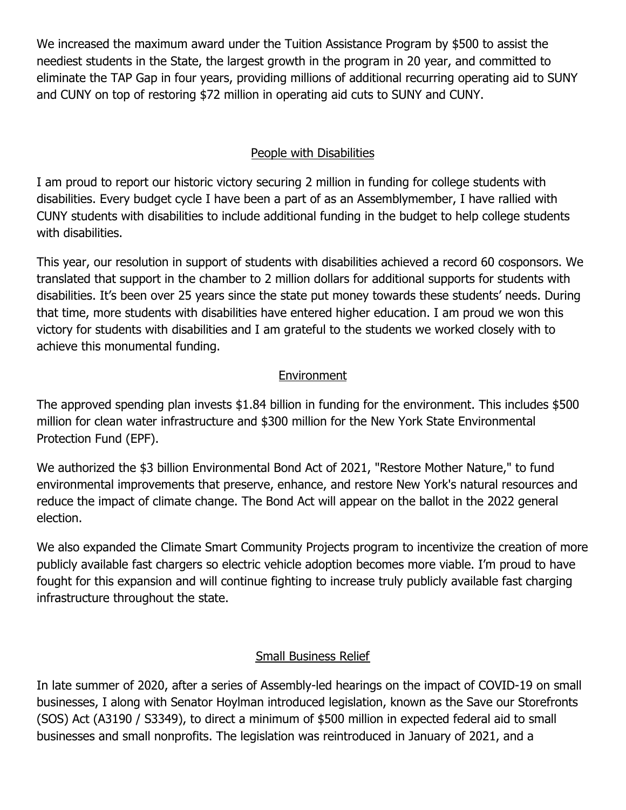We increased the maximum award under the Tuition Assistance Program by \$500 to assist the neediest students in the State, the largest growth in the program in 20 year, and committed to eliminate the TAP Gap in four years, providing millions of additional recurring operating aid to SUNY and CUNY on top of restoring \$72 million in operating aid cuts to SUNY and CUNY.

# People with Disabilities

I am proud to report our historic victory securing 2 million in funding for college students with disabilities. Every budget cycle I have been a part of as an Assemblymember, I have rallied with CUNY students with disabilities to include additional funding in the budget to help college students with disabilities.

This year, our resolution in support of students with disabilities achieved a record 60 cosponsors. We translated that support in the chamber to 2 million dollars for additional supports for students with disabilities. It's been over 25 years since the state put money towards these students' needs. During that time, more students with disabilities have entered higher education. I am proud we won this victory for students with disabilities and I am grateful to the students we worked closely with to achieve this monumental funding.

# **Environment**

The approved spending plan invests \$1.84 billion in funding for the environment. This includes \$500 million for clean water infrastructure and \$300 million for the New York State Environmental Protection Fund (EPF).

We authorized the \$3 billion Environmental Bond Act of 2021, "Restore Mother Nature," to fund environmental improvements that preserve, enhance, and restore New York's natural resources and reduce the impact of climate change. The Bond Act will appear on the ballot in the 2022 general election.

We also expanded the Climate Smart Community Projects program to incentivize the creation of more publicly available fast chargers so electric vehicle adoption becomes more viable. I'm proud to have fought for this expansion and will continue fighting to increase truly publicly available fast charging infrastructure throughout the state.

#### Small Business Relief

In late summer of 2020, after a series of Assembly-led hearings on the impact of COVID-19 on small businesses, I along with Senator Hoylman introduced legislation, known as the Save our Storefronts (SOS) Act (A3190 / S3349), to direct a minimum of \$500 million in expected federal aid to small businesses and small nonprofits. The legislation was reintroduced in January of 2021, and a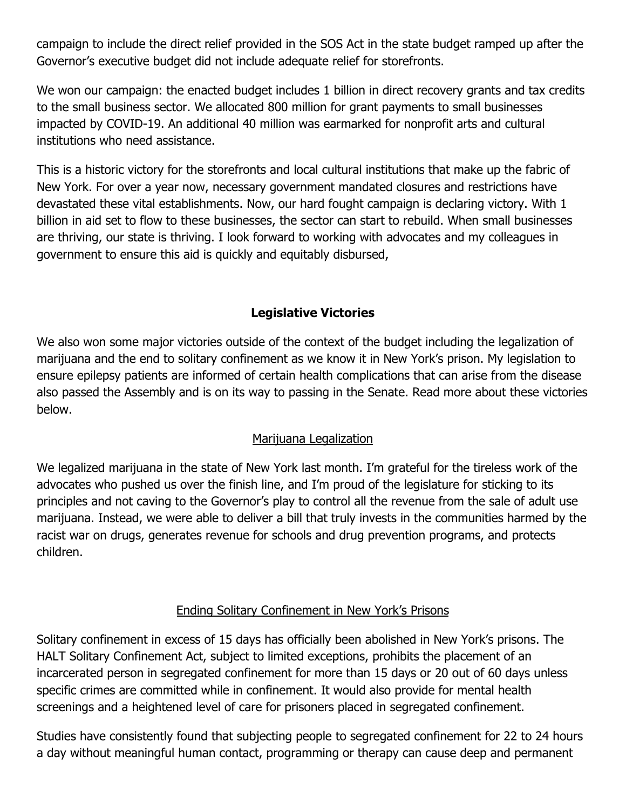campaign to include the direct relief provided in the SOS Act in the state budget ramped up after the Governor's executive budget did not include adequate relief for storefronts.

We won our campaign: the enacted budget includes 1 billion in direct recovery grants and tax credits to the small business sector. We allocated 800 million for grant payments to small businesses impacted by COVID-19. An additional 40 million was earmarked for nonprofit arts and cultural institutions who need assistance.

This is a historic victory for the storefronts and local cultural institutions that make up the fabric of New York. For over a year now, necessary government mandated closures and restrictions have devastated these vital establishments. Now, our hard fought campaign is declaring victory. With 1 billion in aid set to flow to these businesses, the sector can start to rebuild. When small businesses are thriving, our state is thriving. I look forward to working with advocates and my colleagues in government to ensure this aid is quickly and equitably disbursed,

# **Legislative Victories**

We also won some major victories outside of the context of the budget including the legalization of marijuana and the end to solitary confinement as we know it in New York's prison. My legislation to ensure epilepsy patients are informed of certain health complications that can arise from the disease also passed the Assembly and is on its way to passing in the Senate. Read more about these victories below.

#### Marijuana Legalization

We legalized marijuana in the state of New York last month. I'm grateful for the tireless work of the advocates who pushed us over the finish line, and I'm proud of the legislature for sticking to its principles and not caving to the Governor's play to control all the revenue from the sale of adult use marijuana. Instead, we were able to deliver a bill that truly invests in the communities harmed by the racist war on drugs, generates revenue for schools and drug prevention programs, and protects children.

#### Ending Solitary Confinement in New York's Prisons

Solitary confinement in excess of 15 days has officially been abolished in New York's prisons. The HALT Solitary Confinement Act, subject to limited exceptions, prohibits the placement of an incarcerated person in segregated confinement for more than 15 days or 20 out of 60 days unless specific crimes are committed while in confinement. It would also provide for mental health screenings and a heightened level of care for prisoners placed in segregated confinement.

Studies have consistently found that subjecting people to segregated confinement for 22 to 24 hours a day without meaningful human contact, programming or therapy can cause deep and permanent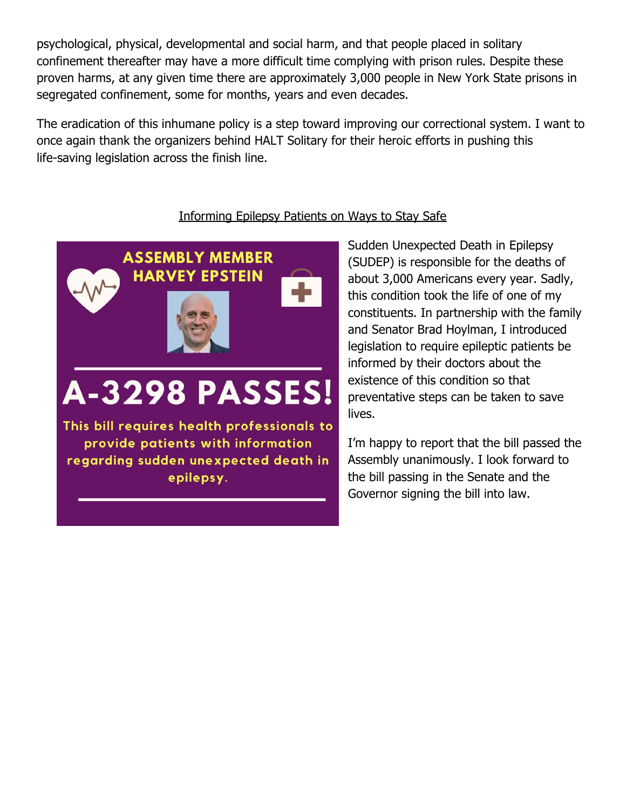psychological, physical, developmental and social harm, and that people placed in solitary confinement thereafter may have a more difficult time complying with prison rules. Despite these proven harms, at any given time there are approximately 3,000 people in New York State prisons in segregated confinement, some for months, years and even decades.

The eradication of this inhumane policy is a step toward improving our correctional system. I want to once again thank the organizers behind HALT Solitary for their heroic efforts in pushing this life-saving legislation across the finish line.

#### Informing Epilepsy Patients on Ways to Stay Safe

**ASSEMBLY MEMBER HARVEY EPSTEIN** 

# **A-3298 PASSES!**

This bill requires health professionals to provide patients with information regarding sudden unexpected death in epilepsy.

Sudden Unexpected Death in Epilepsy (SUDEP) is responsible for the deaths of about 3,000 Americans every year. Sadly, this condition took the life of one of my constituents. In partnership with the family and Senator Brad Hoylman, I introduced legislation to require epileptic patients be informed by their doctors about the existence of this condition so that preventative steps can be taken to save lives.

I'm happy to report that the bill passed the Assembly unanimously. I look forward to the bill passing in the Senate and the Governor signing the bill into law.